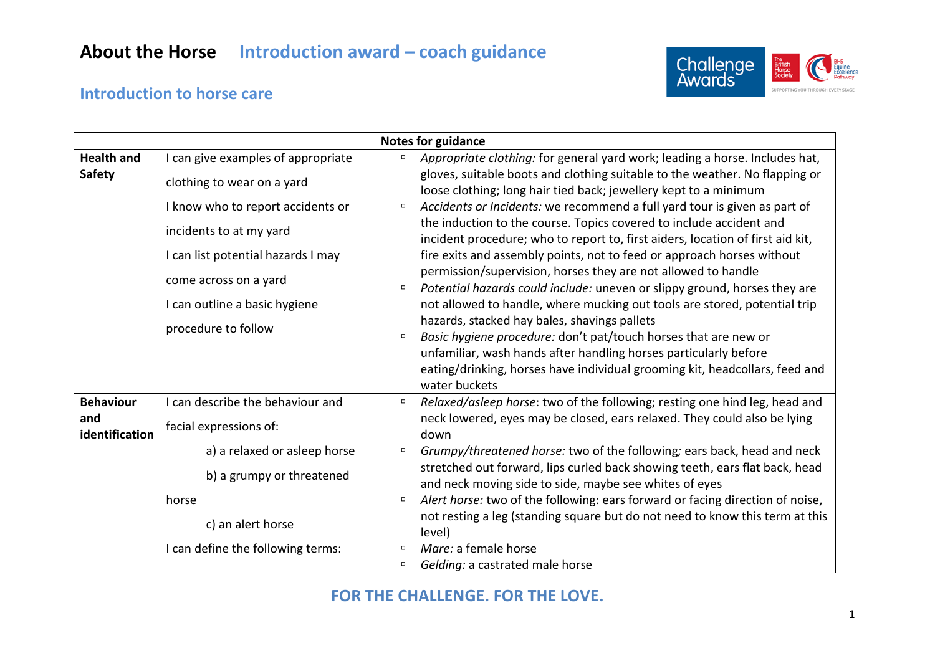# **About the Horse Introduction award – coach guidance**



### **Introduction to horse care**

|                                           |                                                                                                                                                                                                                                                         | <b>Notes for guidance</b>                                                                                                                                                                                                                                                                                                                                                                                                                                                                                                                                                                                                                                                                                                                                                                                                                                                                                                                                                                                                                                                                                |
|-------------------------------------------|---------------------------------------------------------------------------------------------------------------------------------------------------------------------------------------------------------------------------------------------------------|----------------------------------------------------------------------------------------------------------------------------------------------------------------------------------------------------------------------------------------------------------------------------------------------------------------------------------------------------------------------------------------------------------------------------------------------------------------------------------------------------------------------------------------------------------------------------------------------------------------------------------------------------------------------------------------------------------------------------------------------------------------------------------------------------------------------------------------------------------------------------------------------------------------------------------------------------------------------------------------------------------------------------------------------------------------------------------------------------------|
| <b>Health and</b><br><b>Safety</b>        | I can give examples of appropriate<br>clothing to wear on a yard<br>I know who to report accidents or<br>incidents to at my yard<br>I can list potential hazards I may<br>come across on a yard<br>I can outline a basic hygiene<br>procedure to follow | Appropriate clothing: for general yard work; leading a horse. Includes hat,<br>$\Box$<br>gloves, suitable boots and clothing suitable to the weather. No flapping or<br>loose clothing; long hair tied back; jewellery kept to a minimum<br>Accidents or Incidents: we recommend a full yard tour is given as part of<br>$\Box$<br>the induction to the course. Topics covered to include accident and<br>incident procedure; who to report to, first aiders, location of first aid kit,<br>fire exits and assembly points, not to feed or approach horses without<br>permission/supervision, horses they are not allowed to handle<br>Potential hazards could include: uneven or slippy ground, horses they are<br>$\Box$<br>not allowed to handle, where mucking out tools are stored, potential trip<br>hazards, stacked hay bales, shavings pallets<br>Basic hygiene procedure: don't pat/touch horses that are new or<br>$\Box$<br>unfamiliar, wash hands after handling horses particularly before<br>eating/drinking, horses have individual grooming kit, headcollars, feed and<br>water buckets |
| <b>Behaviour</b><br>and<br>identification | I can describe the behaviour and<br>facial expressions of:<br>a) a relaxed or asleep horse<br>b) a grumpy or threatened<br>horse<br>c) an alert horse<br>I can define the following terms:                                                              | Relaxed/asleep horse: two of the following; resting one hind leg, head and<br>$\Box$<br>neck lowered, eyes may be closed, ears relaxed. They could also be lying<br>down<br>Grumpy/threatened horse: two of the following; ears back, head and neck<br>$\Box$<br>stretched out forward, lips curled back showing teeth, ears flat back, head<br>and neck moving side to side, maybe see whites of eyes<br>Alert horse: two of the following: ears forward or facing direction of noise,<br>$\Box$<br>not resting a leg (standing square but do not need to know this term at this<br>level)<br>Mare: a female horse<br>$\Box$<br>Gelding: a castrated male horse<br>$\Box$                                                                                                                                                                                                                                                                                                                                                                                                                               |

#### **FOR THE CHALLENGE. FOR THE LOVE.**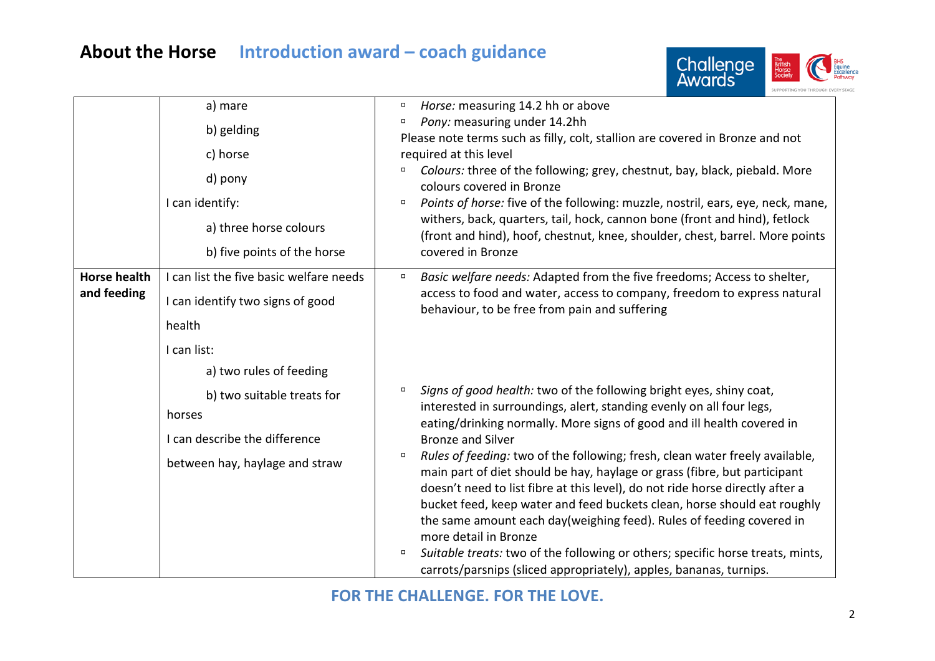## **About the Horse Introduction award – coach guidance**



|                     | a) mare                                 | $\Box$                                        | Horse: measuring 14.2 hh or above                                                                                                                          |
|---------------------|-----------------------------------------|-----------------------------------------------|------------------------------------------------------------------------------------------------------------------------------------------------------------|
|                     | b) gelding                              | o                                             | Pony: measuring under 14.2hh                                                                                                                               |
|                     |                                         |                                               | Please note terms such as filly, colt, stallion are covered in Bronze and not                                                                              |
|                     | c) horse                                |                                               | required at this level                                                                                                                                     |
|                     | d) pony                                 | $\Box$                                        | Colours: three of the following; grey, chestnut, bay, black, piebald. More<br>colours covered in Bronze                                                    |
|                     | I can identify:                         | σ                                             | Points of horse: five of the following: muzzle, nostril, ears, eye, neck, mane,                                                                            |
|                     | a) three horse colours                  |                                               | withers, back, quarters, tail, hock, cannon bone (front and hind), fetlock<br>(front and hind), hoof, chestnut, knee, shoulder, chest, barrel. More points |
|                     | b) five points of the horse             |                                               | covered in Bronze                                                                                                                                          |
| <b>Horse health</b> | I can list the five basic welfare needs | α                                             | Basic welfare needs: Adapted from the five freedoms; Access to shelter,                                                                                    |
| and feeding         | I can identify two signs of good        | behaviour, to be free from pain and suffering | access to food and water, access to company, freedom to express natural                                                                                    |
|                     | health                                  |                                               |                                                                                                                                                            |
|                     | I can list:                             |                                               |                                                                                                                                                            |
|                     | a) two rules of feeding                 |                                               |                                                                                                                                                            |
|                     | b) two suitable treats for              | $\Box$                                        | Signs of good health: two of the following bright eyes, shiny coat,                                                                                        |
|                     | horses                                  |                                               | interested in surroundings, alert, standing evenly on all four legs,                                                                                       |
|                     | I can describe the difference           | <b>Bronze and Silver</b><br>$\Box$            | eating/drinking normally. More signs of good and ill health covered in                                                                                     |
|                     |                                         |                                               | Rules of feeding: two of the following; fresh, clean water freely available,                                                                               |
|                     | between hay, haylage and straw          |                                               | main part of diet should be hay, haylage or grass (fibre, but participant                                                                                  |
|                     |                                         |                                               | doesn't need to list fibre at this level), do not ride horse directly after a                                                                              |
|                     |                                         |                                               | bucket feed, keep water and feed buckets clean, horse should eat roughly                                                                                   |
|                     |                                         |                                               | the same amount each day(weighing feed). Rules of feeding covered in                                                                                       |
|                     |                                         |                                               | more detail in Bronze                                                                                                                                      |
|                     |                                         | $\Box$                                        | Suitable treats: two of the following or others; specific horse treats, mints,                                                                             |
|                     |                                         |                                               | carrots/parsnips (sliced appropriately), apples, bananas, turnips.                                                                                         |

### **FOR THE CHALLENGE. FOR THE LOVE.**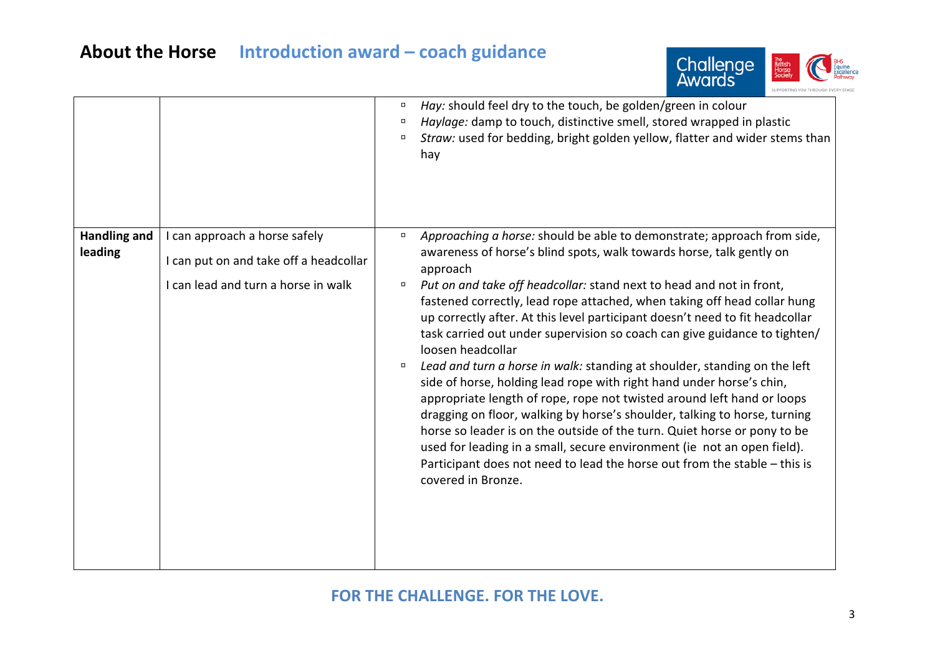# **About the Horse Introduction award – coach guidance**



|                                |                                                                                                                | $\Box$<br>п<br>$\Box$      | Hay: should feel dry to the touch, be golden/green in colour<br>Haylage: damp to touch, distinctive smell, stored wrapped in plastic<br>Straw: used for bedding, bright golden yellow, flatter and wider stems than<br>hay                                                                                                                                                                                                                                                                                                                                                                                                                                                                                                                                                                                                                                                                                                                                                                                                                                              |
|--------------------------------|----------------------------------------------------------------------------------------------------------------|----------------------------|-------------------------------------------------------------------------------------------------------------------------------------------------------------------------------------------------------------------------------------------------------------------------------------------------------------------------------------------------------------------------------------------------------------------------------------------------------------------------------------------------------------------------------------------------------------------------------------------------------------------------------------------------------------------------------------------------------------------------------------------------------------------------------------------------------------------------------------------------------------------------------------------------------------------------------------------------------------------------------------------------------------------------------------------------------------------------|
| <b>Handling and</b><br>leading | I can approach a horse safely<br>I can put on and take off a headcollar<br>I can lead and turn a horse in walk | $\Box$<br>$\Box$<br>$\Box$ | Approaching a horse: should be able to demonstrate; approach from side,<br>awareness of horse's blind spots, walk towards horse, talk gently on<br>approach<br>Put on and take off headcollar: stand next to head and not in front,<br>fastened correctly, lead rope attached, when taking off head collar hung<br>up correctly after. At this level participant doesn't need to fit headcollar<br>task carried out under supervision so coach can give guidance to tighten/<br>loosen headcollar<br>Lead and turn a horse in walk: standing at shoulder, standing on the left<br>side of horse, holding lead rope with right hand under horse's chin,<br>appropriate length of rope, rope not twisted around left hand or loops<br>dragging on floor, walking by horse's shoulder, talking to horse, turning<br>horse so leader is on the outside of the turn. Quiet horse or pony to be<br>used for leading in a small, secure environment (ie not an open field).<br>Participant does not need to lead the horse out from the stable - this is<br>covered in Bronze. |